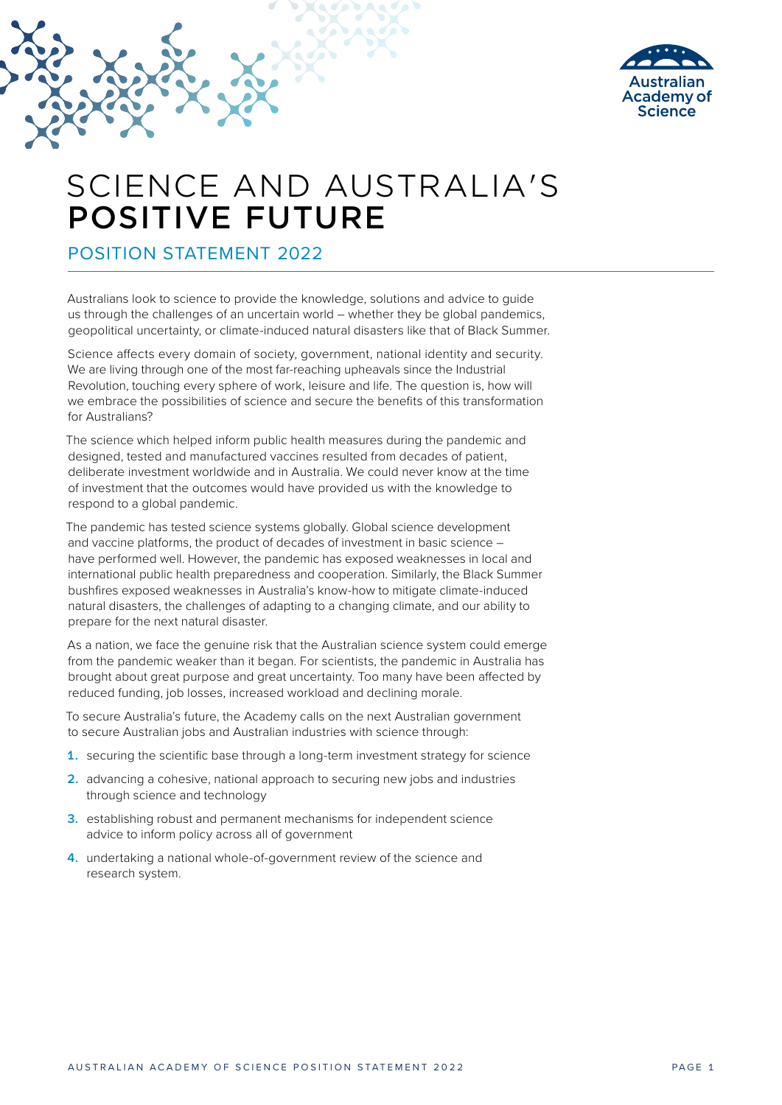

# SCIENCE AND AUSTRALIA'S POSITIVE FUTURE

POSITION STATEMENT 2022

Australians look to science to provide the knowledge, solutions and advice to guide us through the challenges of an uncertain world – whether they be global pandemics, geopolitical uncertainty, or climate-induced natural disasters like that of Black Summer.

Science affects every domain of society, government, national identity and security. We are living through one of the most far-reaching upheavals since the Industrial Revolution, touching every sphere of work, leisure and life. The question is, how will we embrace the possibilities of science and secure the benefits of this transformation for Australians?

The science which helped inform public health measures during the pandemic and designed, tested and manufactured vaccines resulted from decades of patient, deliberate investment worldwide and in Australia. We could never know at the time of investment that the outcomes would have provided us with the knowledge to respond to a global pandemic.

The pandemic has tested science systems globally. Global science development and vaccine platforms, the product of decades of investment in basic science – have performed well. However, the pandemic has exposed weaknesses in local and international public health preparedness and cooperation. Similarly, the Black Summer bushfires exposed weaknesses in Australia's know-how to mitigate climate-induced natural disasters, the challenges of adapting to a changing climate, and our ability to prepare for the next natural disaster.

As a nation, we face the genuine risk that the Australian science system could emerge from the pandemic weaker than it began. For scientists, the pandemic in Australia has brought about great purpose and great uncertainty. Too many have been affected by reduced funding, job losses, increased workload and declining morale.

To secure Australia's future, the Academy calls on the next Australian government to secure Australian jobs and Australian industries with science through:

- **1.** securing the scientific base through a long-term investment strategy for science
- **2.** advancing a cohesive, national approach to securing new jobs and industries through science and technology
- **3.** establishing robust and permanent mechanisms for independent science advice to inform policy across all of government
- **4.** undertaking a national whole-of-government review of the science and research system.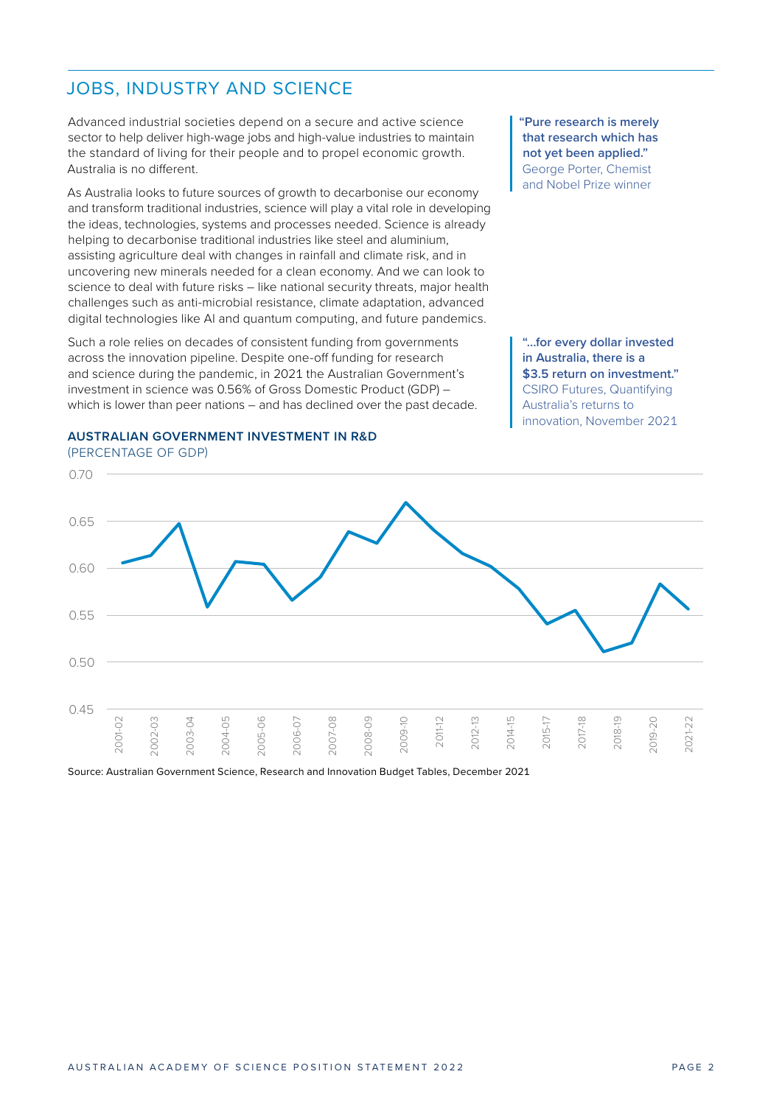### JOBS, INDUSTRY AND SCIENCE 0.70

Advanced industrial societies depend on a secure and active science sector to help deliver high-wage jobs and high-value industries to maintain the standard of living for their people and to propel economic growth. are etamatic et minight

As Australia looks to future sources of growth to decarbonise our economy and transform traditional industries, science will play a vital role in developing the ideas, technologies, systems and processes needed. Science is already helping to decarbonise traditional industries like steel and aluminium, assisting agriculture deal with changes in rainfall and climate risk, and in 0.50 uncovering new minerals needed for a clean economy. And we can look to science to deal with future risks – like national security threats, major health challenges such as anti-microbial resistance, climate adaptation, advanced challenges such as anti-microbial resistance, climate adaptation, advanced digital technologies like AI and quantum computing, and future pandemics.<br>Such a role relies on decades of consistent funding from governments

Such a role relies on decades of consistent funding from governments across the innovation pipeline. Despite one-off funding for research and science during the pandemic, in 2021 the Australian Government's investment in science was 0.56% of Gross Domestic Product (GDP) – which is lower than peer nations – and has declined over the past decade.

#### **AUSTRALIAN GOVERNMENT INVESTMENT IN R&D** (PERCENTAGE OF GDP)

**"Pure research is merely that research which has not yet been applied."** George Porter, Chemist and Nobel Prize winner

2015-17 2017-18 2018-19 2019-20 **"…for every dollar invested in Australia, there is a \$3.5 return on investment."** CSIRO Futures, Quantifying Australia's returns to innovation, November 2021

2014-15



Source: Australian Government Science, Research and Innovation Budget Tables, December 2021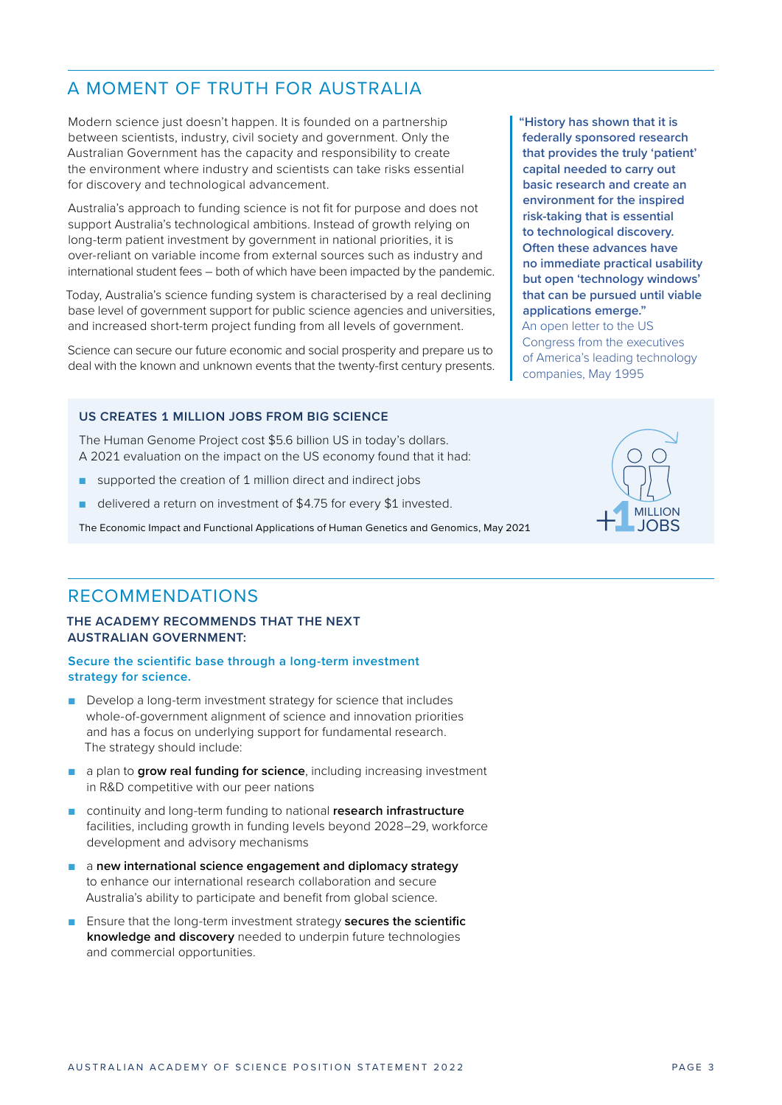# A MOMENT OF TRUTH FOR AUSTRALIA

Modern science just doesn't happen. It is founded on a partnership between scientists, industry, civil society and government. Only the Australian Government has the capacity and responsibility to create the environment where industry and scientists can take risks essential for discovery and technological advancement.

Australia's approach to funding science is not fit for purpose and does not support Australia's technological ambitions. Instead of growth relying on long-term patient investment by government in national priorities, it is over-reliant on variable income from external sources such as industry and international student fees – both of which have been impacted by the pandemic.

Today, Australia's science funding system is characterised by a real declining base level of government support for public science agencies and universities, and increased short-term project funding from all levels of government.

Science can secure our future economic and social prosperity and prepare us to deal with the known and unknown events that the twenty-first century presents.

## **US CREATES 1 MILLION JOBS FROM BIG SCIENCE**

The Human Genome Project cost \$5.6 billion US in today's dollars. A 2021 evaluation on the impact on the US economy found that it had:

- supported the creation of 1 million direct and indirect jobs
- delivered a return on investment of \$4.75 for every \$1 invested.

The Economic Impact and Functional Applications of Human Genetics and Genomics, May 2021

# RECOMMENDATIONS

### **THE ACADEMY RECOMMENDS THAT THE NEXT AUSTRALIAN GOVERNMENT:**

## **Secure the scientific base through a long-term investment strategy for science.**

- Develop a long-term investment strategy for science that includes whole-of-government alignment of science and innovation priorities and has a focus on underlying support for fundamental research. The strategy should include:
- a plan to **grow real funding for science**, including increasing investment in R&D competitive with our peer nations
- continuity and long-term funding to national **research infrastructure** facilities, including growth in funding levels beyond 2028–29, workforce development and advisory mechanisms
- a **new international science engagement and diplomacy strategy** to enhance our international research collaboration and secure Australia's ability to participate and benefit from global science.
- Ensure that the long-term investment strategy **secures the scientific knowledge and discovery** needed to underpin future technologies and commercial opportunities.

**"History has shown that it is federally sponsored research that provides the truly 'patient' capital needed to carry out basic research and create an environment for the inspired risk-taking that is essential to technological discovery. Often these advances have no immediate practical usability but open 'technology windows' that can be pursued until viable applications emerge."** An open letter to the US Congress from the executives of America's leading technology companies, May 1995